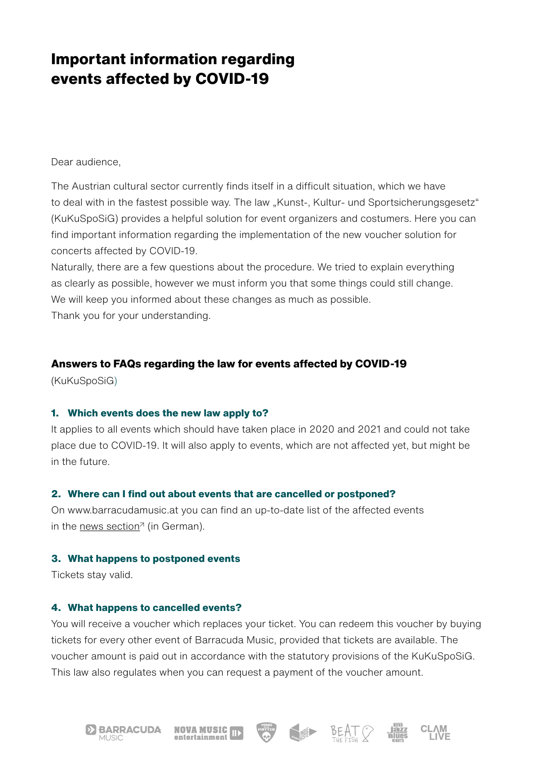# **Important information regarding events affected by COVID-19**

Dear audience,

The Austrian cultural sector currently finds itself in a difficult situation, which we have to deal with in the fastest possible way. The law "Kunst-, Kultur- und Sportsicherungsgesetz" (KuKuSpoSiG) provides a helpful solution for event organizers and costumers. Here you can find important information regarding the implementation of the new voucher solution for concerts affected by COVID-19.

Naturally, there are a few questions about the procedure. We tried to explain everything as clearly as possible, however we must inform you that some things could still change. We will keep you informed about these changes as much as possible. Thank you for your understanding.

## **Answers to FAQs regarding the law for events affected by COVID-19**

(KuKuSpoSiG)

### **1. Which events does the new law apply to?**

It applies to all events which should have taken place in 2020 and 2021 and could not take place due to COVID-19. It will also apply to events, which are not affected yet, but might be in the future.

### **2. Where can I find out about events that are cancelled or postponed?**

On www.barracudamusic.at you can find an up-to-date list of the affected events in the [news section](http://www.barracudamusic.at/jart/prj3/skalar/main.jart?rel=de&content-id=1262873609301&reserve-mode=active)<sup> $\pi$ </sup> (in German).

### **3. What happens to postponed events**

Tickets stay valid.

### **4. What happens to cancelled events?**

You will receive a voucher which replaces your ticket. You can redeem this voucher by buying tickets for every other event of Barracuda Music, provided that tickets are available. The voucher amount is paid out in accordance with the statutory provisions of the KuKuSpoSiG. This law also regulates when you can request a payment of the voucher amount.







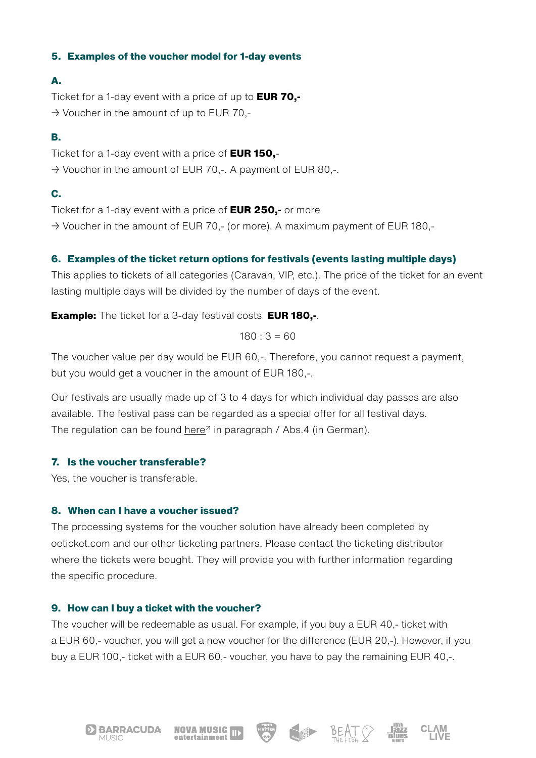## **5. Examples of the voucher model for 1-day events**

## **A.**

Ticket for a 1-day event with a price of up to **EUR 70,-**  $\rightarrow$  Voucher in the amount of up to EUR 70,-

# **B.**

Ticket for a 1-day event with a price of **EUR 150,**-  $\rightarrow$  Voucher in the amount of EUR 70,-. A payment of EUR 80,-.

# **C.**

Ticket for a 1-day event with a price of **EUR 250,-** or more  $\rightarrow$  Voucher in the amount of EUR 70,- (or more). A maximum payment of EUR 180,-

# **6. Examples of the ticket return options for festivals (events lasting multiple days)**

This applies to tickets of all categories (Caravan, VIP, etc.). The price of the ticket for an event lasting multiple days will be divided by the number of days of the event.

**Example:** The ticket for a 3-day festival costs **EUR 180,-**.

 $180 : 3 = 60$ 

The voucher value per day would be EUR 60,-. Therefore, you cannot request a payment, but you would get a voucher in the amount of EUR 180,-.

Our festivals are usually made up of 3 to 4 days for which individual day passes are also available. The festival pass can be regarded as a special offer for all festival days. The regulation can be found here<sup> $\pi$ </sup> in paragraph / Abs.4 (in German).

# **7. Is the voucher transferable?**

Yes, the voucher is transferable.

# **8. When can I have a voucher issued?**

The processing systems for the voucher solution have already been completed by oeticket.com and our other ticketing partners. Please contact the ticketing distributor where the tickets were bought. They will provide you with further information regarding the specific procedure.

# **9. How can I buy a ticket with the voucher?**

The voucher will be redeemable as usual. For example, if you buy a EUR 40,- ticket with a EUR 60,- voucher, you will get a new voucher for the difference (EUR 20,-). However, if you buy a EUR 100,- ticket with a EUR 60,- voucher, you have to pay the remaining EUR 40,-.